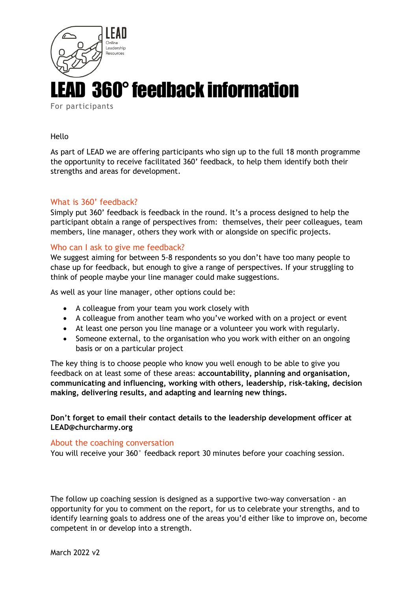

For participants

### Hello

As part of LEAD we are offering participants who sign up to the full 18 month programme the opportunity to receive facilitated 360' feedback, to help them identify both their strengths and areas for development.

## What is 360' feedback?

Simply put 360' feedback is feedback in the round. It's a process designed to help the participant obtain a range of perspectives from: themselves, their peer colleagues, team members, line manager, others they work with or alongside on specific projects.

## Who can I ask to give me feedback?

We suggest aiming for between 5-8 respondents so you don't have too many people to chase up for feedback, but enough to give a range of perspectives. If your struggling to think of people maybe your line manager could make suggestions.

As well as your line manager, other options could be:

- A colleague from your team you work closely with
- A colleague from another team who you've worked with on a project or event
- At least one person you line manage or a volunteer you work with regularly.
- Someone external, to the organisation who you work with either on an ongoing basis or on a particular project

The key thing is to choose people who know you well enough to be able to give you feedback on at least some of these areas: **accountability, planning and organisation, communicating and influencing, working with others, leadership, risk-taking, decision making, delivering results, and adapting and learning new things.**

**Don't forget to email their contact details to the leadership development officer at LEAD@churcharmy.org**

### About the coaching conversation

You will receive your 360° feedback report 30 minutes before your coaching session.

The follow up coaching session is designed as a supportive two-way conversation - an opportunity for you to comment on the report, for us to celebrate your strengths, and to identify learning goals to address one of the areas you'd either like to improve on, become competent in or develop into a strength.